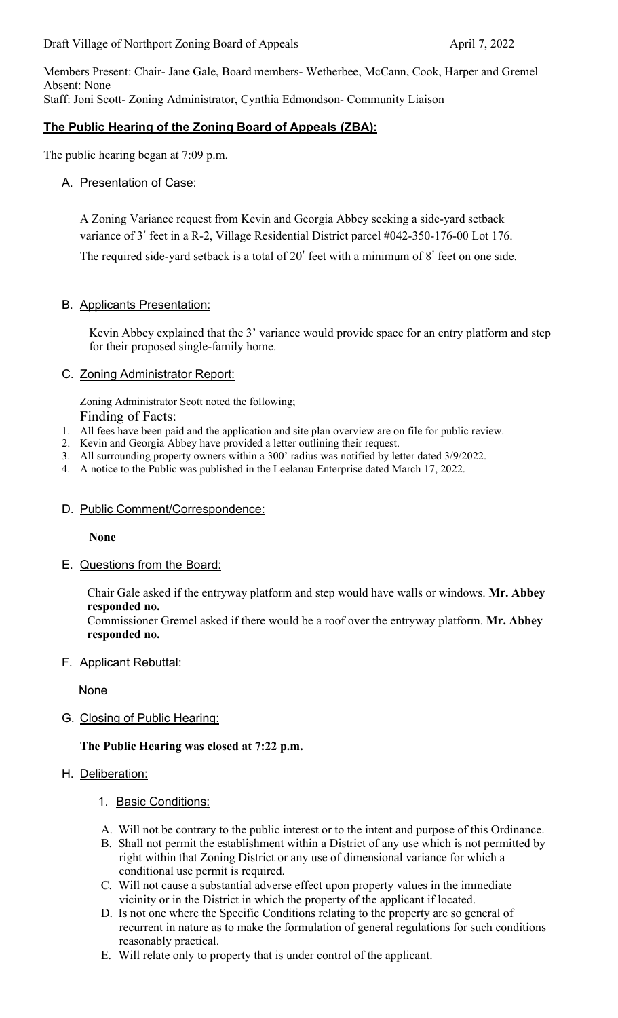Members Present: Chair- Jane Gale, Board members- Wetherbee, McCann, Cook, Harper and Gremel Absent: None Staff: Joni Scott- Zoning Administrator, Cynthia Edmondson- Community Liaison

# **The Public Hearing of the Zoning Board of Appeals (ZBA):**

The public hearing began at 7:09 p.m.

# A. Presentation of Case:

A Zoning Variance request from Kevin and Georgia Abbey seeking a side-yard setback variance of 3' feet in a R-2, Village Residential District parcel #042-350-176-00 Lot 176. The required side-yard setback is a total of 20' feet with a minimum of 8' feet on one side.

# B. Applicants Presentation:

Kevin Abbey explained that the 3' variance would provide space for an entry platform and step for their proposed single-family home.

## C. Zoning Administrator Report:

Zoning Administrator Scott noted the following; Finding of Facts:

- 1. All fees have been paid and the application and site plan overview are on file for public review.
- 2. Kevin and Georgia Abbey have provided a letter outlining their request.
- 3. All surrounding property owners within a 300' radius was notified by letter dated 3/9/2022.
- 4. A notice to the Public was published in the Leelanau Enterprise dated March 17, 2022.

#### D. Public Comment/Correspondence:

**None**

E. Questions from the Board:

Chair Gale asked if the entryway platform and step would have walls or windows. **Mr. Abbey responded no.** 

Commissioner Gremel asked if there would be a roof over the entryway platform. **Mr. Abbey responded no.** 

F. Applicant Rebuttal:

None

G. Closing of Public Hearing:

**The Public Hearing was closed at 7:22 p.m.** 

#### H. Deliberation:

- 1. Basic Conditions:
- A. Will not be contrary to the public interest or to the intent and purpose of this Ordinance.
- B. Shall not permit the establishment within a District of any use which is not permitted by right within that Zoning District or any use of dimensional variance for which a conditional use permit is required.
- C. Will not cause a substantial adverse effect upon property values in the immediate vicinity or in the District in which the property of the applicant if located.
- D. Is not one where the Specific Conditions relating to the property are so general of recurrent in nature as to make the formulation of general regulations for such conditions reasonably practical.
- E. Will relate only to property that is under control of the applicant.